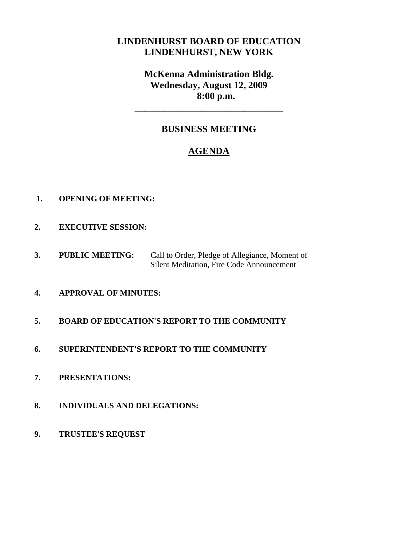# **LINDENHURST BOARD OF EDUCATION LINDENHURST, NEW YORK**

**McKenna Administration Bldg. Wednesday, August 12, 2009 8:00 p.m.**

# **BUSINESS MEETING**

**\_\_\_\_\_\_\_\_\_\_\_\_\_\_\_\_\_\_\_\_\_\_\_\_\_\_\_\_\_\_\_**

# **AGENDA**

- **1. OPENING OF MEETING:**
- **2. EXECUTIVE SESSION:**
- **3. PUBLIC MEETING:** Call to Order, Pledge of Allegiance, Moment of Silent Meditation, Fire Code Announcement
- **4. APPROVAL OF MINUTES:**
- **5. BOARD OF EDUCATION'S REPORT TO THE COMMUNITY**
- **6. SUPERINTENDENT'S REPORT TO THE COMMUNITY**
- **7. PRESENTATIONS:**
- **8. INDIVIDUALS AND DELEGATIONS:**
- **9. TRUSTEE'S REQUEST**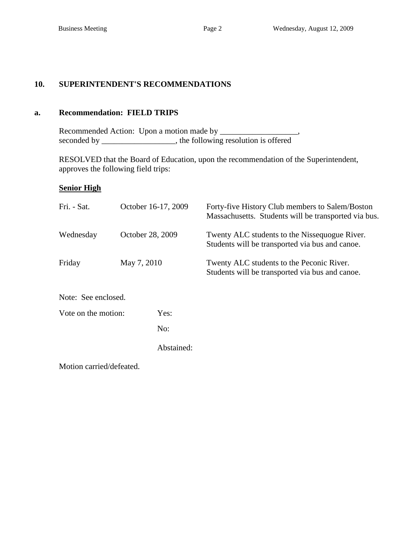## **10. SUPERINTENDENT'S RECOMMENDATIONS**

#### **a. Recommendation: FIELD TRIPS**

Recommended Action: Upon a motion made by \_\_\_\_\_\_\_\_\_\_\_\_\_\_\_\_\_\_\_, seconded by \_\_\_\_\_\_\_\_\_\_\_\_\_, the following resolution is offered  $\overline{\phantom{a}}$ ,

RESOLVED that the Board of Education, upon the recommendation of the Superintendent, approves the following field trips:

#### **Senior High**

| Fri. - Sat.         | October 16-17, 2009 |            | Forty-five History Club members to Salem/Boston<br>Massachusetts. Students will be transported via bus. |  |
|---------------------|---------------------|------------|---------------------------------------------------------------------------------------------------------|--|
| Wednesday           | October 28, 2009    |            | Twenty ALC students to the Nissequogue River.<br>Students will be transported via bus and canoe.        |  |
| Friday              | May 7, 2010         |            | Twenty ALC students to the Peconic River.<br>Students will be transported via bus and canoe.            |  |
| Note: See enclosed. |                     |            |                                                                                                         |  |
| Vote on the motion: |                     | Yes:       |                                                                                                         |  |
|                     |                     | No:        |                                                                                                         |  |
|                     |                     | Abstained: |                                                                                                         |  |

Motion carried/defeated.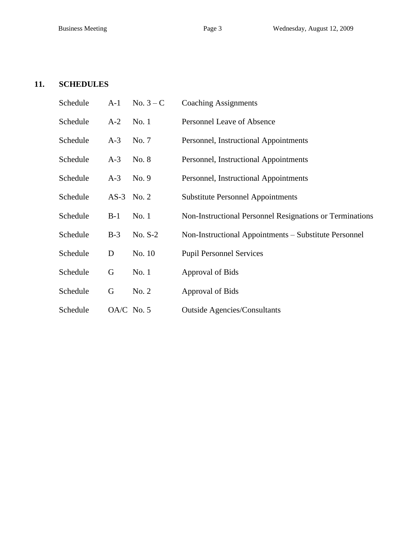# **11. SCHEDULES**

| Schedule | $A-1$        | No. $3 - C$ | <b>Coaching Assignments</b>                              |
|----------|--------------|-------------|----------------------------------------------------------|
| Schedule | $A-2$        | No.1        | Personnel Leave of Absence                               |
| Schedule | $A-3$        | No. 7       | Personnel, Instructional Appointments                    |
| Schedule | $A-3$        | No. 8       | Personnel, Instructional Appointments                    |
| Schedule | $A-3$        | No. 9       | Personnel, Instructional Appointments                    |
| Schedule | $AS-3$ No. 2 |             | <b>Substitute Personnel Appointments</b>                 |
| Schedule | $B-1$        | No.1        | Non-Instructional Personnel Resignations or Terminations |
| Schedule | $B-3$        | $No. S-2$   | Non-Instructional Appointments – Substitute Personnel    |
| Schedule | D            | No. 10      | <b>Pupil Personnel Services</b>                          |
| Schedule | G            | No. 1       | Approval of Bids                                         |
| Schedule | G            | No. 2       | Approval of Bids                                         |
| Schedule | $OA/C$ No. 5 |             | <b>Outside Agencies/Consultants</b>                      |